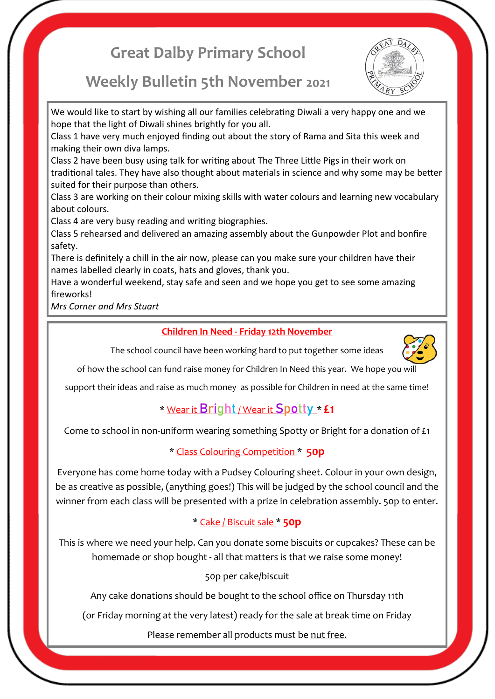# **Great Dalby Primary School**



## **Weekly Bulletin 5th November 2021**

We would like to start by wishing all our families celebrating Diwali a very happy one and we hope that the light of Diwali shines brightly for you all.

Class 1 have very much enjoyed finding out about the story of Rama and Sita this week and making their own diva lamps.

Class 2 have been busy using talk for writing about The Three Little Pigs in their work on traditional tales. They have also thought about materials in science and why some may be better suited for their purpose than others.

Class 3 are working on their colour mixing skills with water colours and learning new vocabulary about colours.

Class 4 are very busy reading and writing biographies.

Class 5 rehearsed and delivered an amazing assembly about the Gunpowder Plot and bonfire safety.

There is definitely a chill in the air now, please can you make sure your children have their names labelled clearly in coats, hats and gloves, thank you.

Have a wonderful weekend, stay safe and seen and we hope you get to see some amazing fireworks!

*Mrs Corner and Mrs Stuart*

### **Children In Need - Friday 12th November**

The school council have been working hard to put together some ideas



of how the school can fund raise money for Children In Need this year. We hope you will

support their ideas and raise as much money as possible for Children in need at the same time!

## \* Wear it **Bright**/ Wear it **Spotty** \* **£1**

Come to school in non-uniform wearing something Spotty or Bright for a donation of £1

### \* Class Colouring Competition \* **50p**

Everyone has come home today with a Pudsey Colouring sheet. Colour in your own design, be as creative as possible, (anything goes!) This will be judged by the school council and the winner from each class will be presented with a prize in celebration assembly. 50p to enter.

## \* Cake / Biscuit sale \* **50p**

This is where we need your help. Can you donate some biscuits or cupcakes? These can be homemade or shop bought - all that matters is that we raise some money!

50p per cake/biscuit

Any cake donations should be bought to the school office on Thursday 11th

(or Friday morning at the very latest) ready for the sale at break time on Friday

Please remember all products must be nut free.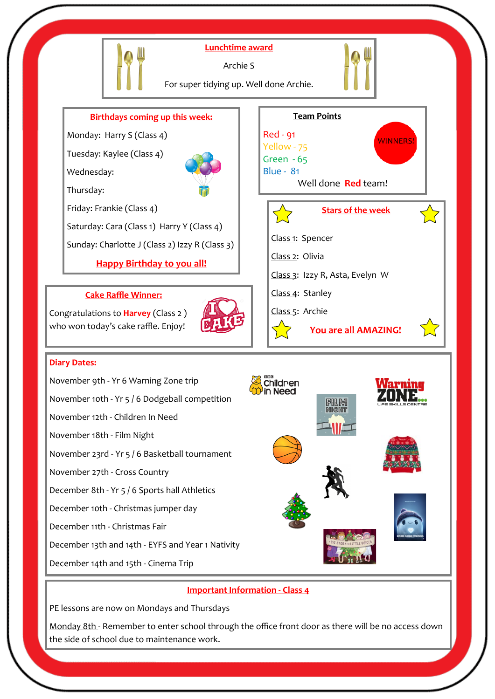

#### **Important Information - Class 4**

PE lessons are now on Mondays and Thursdays

Monday 8th - Remember to enter school through the office front door as there will be no access down the side of school due to maintenance work.